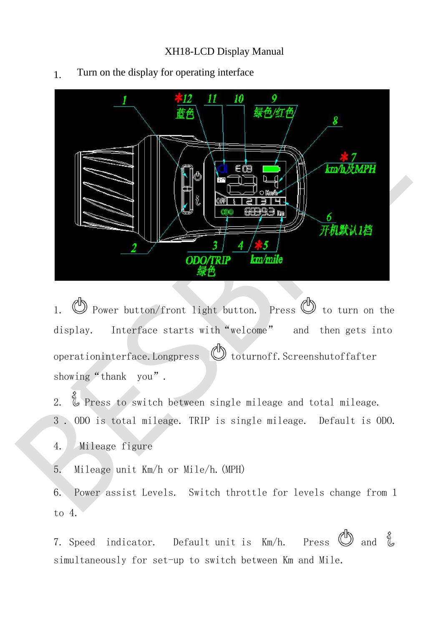## XH18-LCD Display Manual



1. Turn on the display for operating interface

1.  $\mathbb{D}$  Power button/front light button. Press  $\mathbb{D}$  to turn on the display. Interface starts with "welcome" and then gets into operationinterface.Longpress  $\bigcirc$  toturnoff. Screenshutoffafter showing "thank you".

2.  $\mathring{\mathbb{Q}}$  Press to switch between single mileage and total mileage. 3 . ODO is total mileage. TRIP is single mileage. Default is ODO.

4. Mileage figure

5. Mileage unit Km/h or Mile/h.(MPH)

6. Power assist Levels. Switch throttle for levels change from 1 to 4.

7. Speed indicator. Default unit is Km/h. simultaneously for set-up to switch between Km and Mile. Press  $\bigcirc$  and  $\mathring{\mathcal{L}}$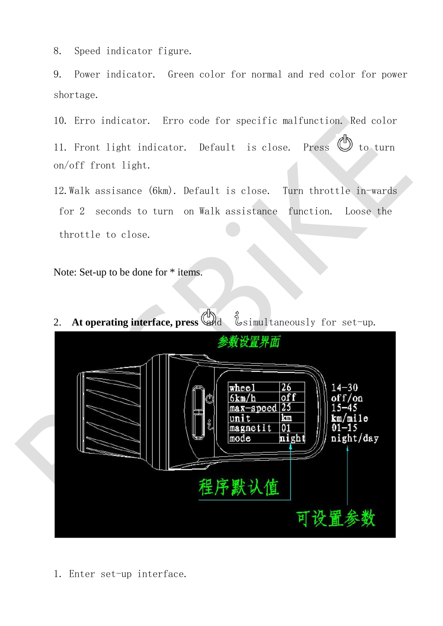8. Speed indicator figure.

9. Power indicator. Green color for normal and red color for power shortage.

10. Erro indicator. Erro code for specific malfunction. Red color

11. Front light indicator. Default is close. on/off front light.  $Press$   $\bullet$  to turn

12.Walk assisance (6km). Default is close. Turn throttle in-wards for 2 seconds to turn on Walk assistance function. Loose the throttle to close.

Note: Set-up to be done for \* items.



1. Enter set-up interface.